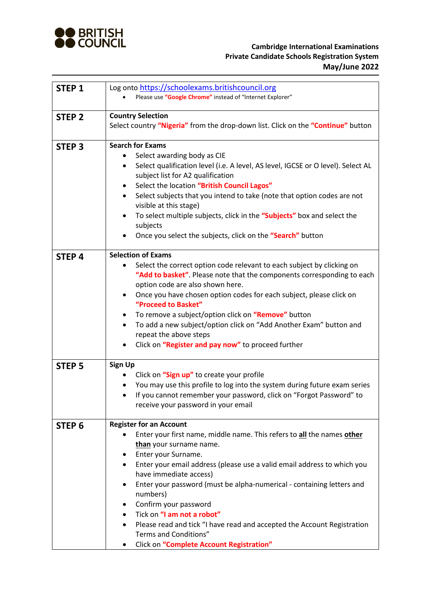

## **Cambridge International Examinations Private Candidate Schools Registration System May/June 2022**

| <b>STEP 1</b>     | Log onto https://schoolexams.britishcouncil.org                                       |
|-------------------|---------------------------------------------------------------------------------------|
|                   | Please use "Google Chrome" instead of "Internet Explorer"                             |
|                   |                                                                                       |
| <b>STEP 2</b>     | <b>Country Selection</b>                                                              |
|                   | Select country "Nigeria" from the drop-down list. Click on the "Continue" button      |
| <b>STEP 3</b>     | <b>Search for Exams</b>                                                               |
|                   | Select awarding body as CIE                                                           |
|                   | Select qualification level (i.e. A level, AS level, IGCSE or O level). Select AL<br>٠ |
|                   | subject list for A2 qualification                                                     |
|                   | Select the location "British Council Lagos"<br>٠                                      |
|                   | Select subjects that you intend to take (note that option codes are not<br>$\bullet$  |
|                   | visible at this stage)                                                                |
|                   | To select multiple subjects, click in the "Subjects" box and select the<br>٠          |
|                   | subjects                                                                              |
|                   | Once you select the subjects, click on the "Search" button                            |
| <b>STEP4</b>      | <b>Selection of Exams</b>                                                             |
|                   | Select the correct option code relevant to each subject by clicking on                |
|                   | "Add to basket". Please note that the components corresponding to each                |
|                   | option code are also shown here.                                                      |
|                   | Once you have chosen option codes for each subject, please click on<br>$\bullet$      |
|                   | "Proceed to Basket"                                                                   |
|                   | To remove a subject/option click on "Remove" button                                   |
|                   | To add a new subject/option click on "Add Another Exam" button and                    |
|                   | repeat the above steps                                                                |
|                   | Click on "Register and pay now" to proceed further                                    |
| <b>STEP 5</b>     | <b>Sign Up</b>                                                                        |
|                   | Click on "Sign up" to create your profile                                             |
|                   | You may use this profile to log into the system during future exam series             |
|                   | If you cannot remember your password, click on "Forgot Password" to<br>٠              |
|                   | receive your password in your email                                                   |
|                   | <b>Register for an Account</b>                                                        |
| STEP <sub>6</sub> | Enter your first name, middle name. This refers to all the names other                |
|                   | than your surname name.                                                               |
|                   | Enter your Surname.<br>٠                                                              |
|                   | Enter your email address (please use a valid email address to which you<br>٠          |
|                   | have immediate access)                                                                |
|                   | Enter your password (must be alpha-numerical - containing letters and<br>٠            |
|                   | numbers)                                                                              |
|                   | Confirm your password                                                                 |
|                   | Tick on "I am not a robot"                                                            |
|                   | Please read and tick "I have read and accepted the Account Registration               |
|                   | Terms and Conditions"                                                                 |
|                   | Click on "Complete Account Registration"                                              |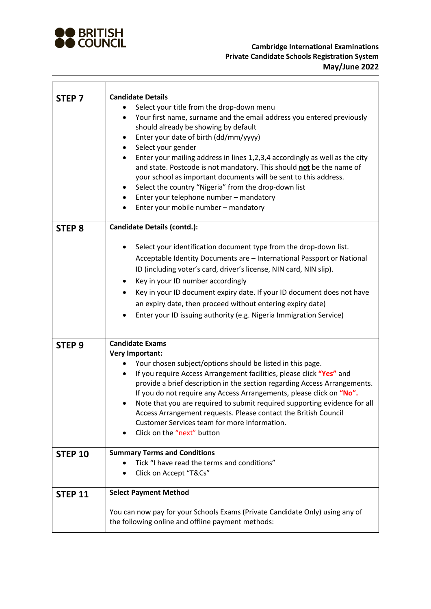

 $\mathbf{r}$ 

L

| STEP <sub>7</sub> | <b>Candidate Details</b><br>Select your title from the drop-down menu<br>Your first name, surname and the email address you entered previously<br>$\bullet$<br>should already be showing by default<br>Enter your date of birth (dd/mm/yyyy)<br>٠<br>Select your gender<br>$\bullet$<br>Enter your mailing address in lines 1,2,3,4 accordingly as well as the city<br>$\bullet$<br>and state. Postcode is not mandatory. This should not be the name of<br>your school as important documents will be sent to this address.<br>Select the country "Nigeria" from the drop-down list<br>٠<br>Enter your telephone number - mandatory<br>$\bullet$<br>Enter your mobile number - mandatory |
|-------------------|-------------------------------------------------------------------------------------------------------------------------------------------------------------------------------------------------------------------------------------------------------------------------------------------------------------------------------------------------------------------------------------------------------------------------------------------------------------------------------------------------------------------------------------------------------------------------------------------------------------------------------------------------------------------------------------------|
| <b>STEP 8</b>     | <b>Candidate Details (contd.):</b><br>Select your identification document type from the drop-down list.<br>Acceptable Identity Documents are - International Passport or National<br>ID (including voter's card, driver's license, NIN card, NIN slip).<br>Key in your ID number accordingly<br>٠<br>Key in your ID document expiry date. If your ID document does not have<br>٠<br>an expiry date, then proceed without entering expiry date)<br>Enter your ID issuing authority (e.g. Nigeria Immigration Service)                                                                                                                                                                      |
| STEP <sub>9</sub> | <b>Candidate Exams</b>                                                                                                                                                                                                                                                                                                                                                                                                                                                                                                                                                                                                                                                                    |
|                   | <b>Very Important:</b>                                                                                                                                                                                                                                                                                                                                                                                                                                                                                                                                                                                                                                                                    |
|                   | Your chosen subject/options should be listed in this page.<br>If you require Access Arrangement facilities, please click "Yes" and<br>$\bullet$<br>provide a brief description in the section regarding Access Arrangements.<br>If you do not require any Access Arrangements, please click on "No".<br>Note that you are required to submit required supporting evidence for all<br>Access Arrangement requests. Please contact the British Council<br>Customer Services team for more information.<br>Click on the "next" button                                                                                                                                                        |
| <b>STEP 10</b>    | <b>Summary Terms and Conditions</b>                                                                                                                                                                                                                                                                                                                                                                                                                                                                                                                                                                                                                                                       |
|                   | Tick "I have read the terms and conditions"<br>Click on Accept "T&Cs"                                                                                                                                                                                                                                                                                                                                                                                                                                                                                                                                                                                                                     |
| <b>STEP 11</b>    | <b>Select Payment Method</b>                                                                                                                                                                                                                                                                                                                                                                                                                                                                                                                                                                                                                                                              |
|                   | You can now pay for your Schools Exams (Private Candidate Only) using any of<br>the following online and offline payment methods:                                                                                                                                                                                                                                                                                                                                                                                                                                                                                                                                                         |